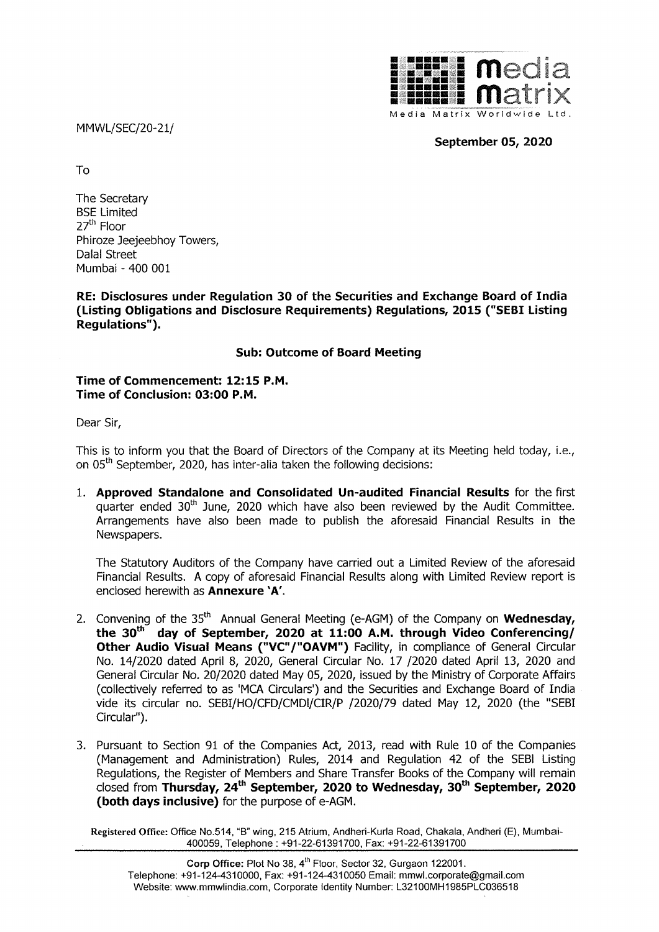MMWL/SEC/20-21/



September 05, 2020

To

The Secretary BSE Limited 27<sup>th</sup> Floor Phiroze Jeejeebhoy Towers, Dalal Street Mumbai - 400 001

RE: Disclosures under Regulation 30 of the Securities and Exchange Board of India (Listing Obligations and Disclosure Requirements) Regulations, 2015 ("SEBI Listing Regulations").

## Sub: Outcome of Board Meeting

Time of Commencement: 12:15 P.M. Time of Conclusion: 03:00 P.M.

Dear Sir,

This is to inform you that the Board of Directors of the Company at its Meeting held today, i.e., on 05" September, 2020, has inter-alia taken the following decisions:

1. Approved Standalone and Consolidated Un-audited Financial Results for the first quarter ended 30<sup>th</sup> June, 2020 which have also been reviewed by the Audit Committee. Arrangements have also been made to publish the aforesaid Financial Results in the Newspapers.

The Statutory Auditors of the Company have carried out a Limited Review of the aforesaid Financial Results. A copy of aforesaid Financial Results along with Limited Review report is enclosed herewith as Annexure 'A'.

- 2. Convening of the 35<sup>th</sup> Annual General Meeting (e-AGM) of the Company on **Wednesday**, the  $30<sup>th</sup>$  day of September, 2020 at 11:00 A.M. through Video Conferencing/ Other Audio Visual Means ("VC"/"OAVM") Facility, in compliance of General Circular No. 14/2020 dated April 8, 2020, General Circular No. 17 /2020 dated April 13, 2020 and General Circular No. 20/2020 dated May 05, 2020, issued by the Ministry of Corporate Affairs (collectively referred to as 'MCA Circulars') and the Securities and Exchange Board of India vide its circular no. SEBI/HO/CFD/CMDI/CIR/P /2020/79 dated May 12, 2020 (the "SEBI Circular").
- Proposed With Kule 10<br>
Regulation 42 of<br>
Prepulation 42 of<br>
Prepulation 30<sup>th</sup> Section<br>
A Road, Chakala, And<br>
And And Section<br>
Gurgaon 122001.<br>
Il: mmwl.corporate@g.<br>
Tr: L32100MH1985PLC 3. Pursuant to Section 91 of the Companies Act, 2013, read with Rule 10 of the Companies (Management and Administration) Rules, 2014 and Regulation 42 of the SEBI Listing Regulations, the Register of Members and Share Transfer Books of the Company will remain closed from Thursday, 24<sup>th</sup> September, 2020 to Wednesday, 30<sup>th</sup> September, 2020 (both days inclusive) for the purpose of e-AGM.

Registered Office: Office No.514, "B" wing, 215 Atrium, Andheri-Kurla Road, Chakala, Andheri (E), Mumbai-400059, Telephone : +91-22-61391700, Fax: +91-22-61391700